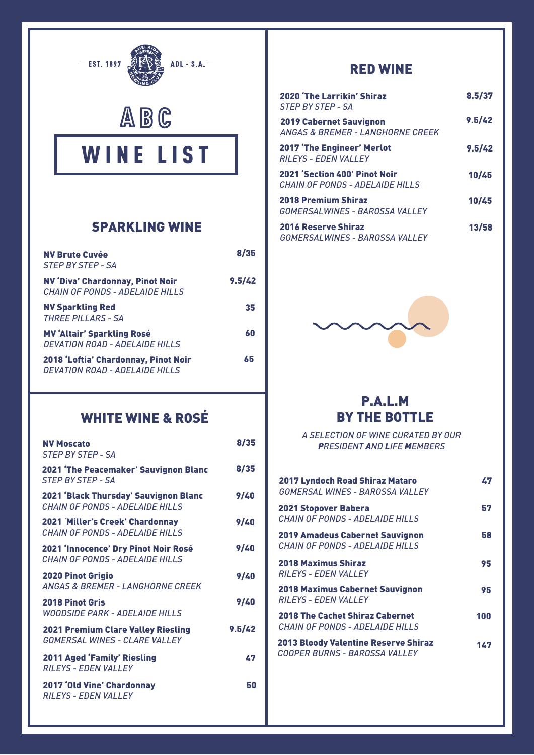





### SPARKLING WINE

| <b>NV Brute Cuvée</b><br>STEP BY STEP - SA                                           | 8/35   |
|--------------------------------------------------------------------------------------|--------|
| <b>NV 'Diva' Chardonnay, Pinot Noir</b><br>CHAIN OF PONDS - ADELAIDE HILLS           | 9.5/42 |
| <b>NV Sparkling Red</b><br><b>THREE PILLARS - SA</b>                                 | 35     |
| <b>MV 'Altair' Sparkling Rosé</b><br><b>DEVATION ROAD - ADELAIDE HILLS</b>           | 60     |
| 2018 'Loftia' Chardonnay, Pinot Noir<br><i><b>DEVATION ROAD - ADELAIDE HILLS</b></i> | 65     |

# WHITE WINE & ROSÉ

| <b>NV Moscato</b><br><b>STEP BY STEP - SA</b>                                     | 8/35   |
|-----------------------------------------------------------------------------------|--------|
| <b>2021 'The Peacemaker' Sauvignon Blanc</b><br><b>STEP BY STEP - SA</b>          | 8/35   |
| <b>2021 'Black Thursday' Sauvignon Blanc</b><br>CHAIN OF PONDS - ADELAIDE HILLS   | 9/40   |
| <b>2021 Miller's Creek' Chardonnay</b><br>CHAIN OF PONDS - ADFI AIDF HILLS        | 9/40   |
| 2021 'Innocence' Dry Pinot Noir Rosé<br><b>CHAIN OF PONDS - ADELAIDE HILLS</b>    | 9/40   |
| <b>2020 Pinot Grigio</b><br><b>ANGAS &amp; BREMER - LANGHORNE CREEK</b>           | 9/40   |
| <b>2018 Pinot Gris</b><br><b>WOODSIDE PARK - ADELAIDE HILLS</b>                   | 9/40   |
| <b>2021 Premium Clare Valley Riesling</b><br><b>GOMERSAL WINES - CLARE VALLEY</b> | 9.5/42 |
| <b>2011 Aged 'Family' Riesling</b><br><b>RILEYS - EDEN VALLEY</b>                 | 47     |
| <b>2017 'Old Vine' Chardonnay</b><br><b>RILEYS - EDEN VALLEY</b>                  | 50     |

### RED WINE

| 2020 'The Larrikin' Shiraz<br><b>STEP BY STEP - SA</b>                        | 8.5/37 |
|-------------------------------------------------------------------------------|--------|
| <b>2019 Cabernet Sauvignon</b><br><b>ANGAS &amp; BREMER - LANGHORNE CREEK</b> | 9.5/42 |
| <b>2017 'The Engineer' Merlot</b><br><b>RILEYS - EDEN VALLEY</b>              | 9.5/42 |
| <b>2021 'Section 400' Pinot Noir</b><br>CHAIN OF PONDS - ADELAIDE HILLS       | 10/45  |
| <b>2018 Premium Shiraz</b><br>GOMERSALWINES - BAROSSA VALLEY                  | 10/45  |
| <b>2016 Reserve Shiraz</b><br>GOMERSALWINES - BAROSSA VALLEY                  | 13/58  |



## P.A.L.M BY THE BOTTLE

*A SELECTION OF WINE CURATED BY OUR PRESIDENT AND LIFE MEMBERS*

| <b>2017 Lyndoch Road Shiraz Mataro</b><br>GOMERSAL WINES - BAROSSA VALLEY    | 47  |
|------------------------------------------------------------------------------|-----|
| <b>2021 Stopover Babera</b><br>CHAIN OF PONDS - ADELAIDE HILLS               | 57  |
| <b>2019 Amadeus Cabernet Sauvignon</b><br>CHAIN OF PONDS - ADELAIDE HILLS    | 58  |
| <b>2018 Maximus Shiraz</b><br><b>RILEYS - EDEN VALLEY</b>                    | 95  |
| <b>2018 Maximus Cabernet Sauvignon</b><br><b>RILEYS - EDEN VALLEY</b>        | 95  |
| <b>2018 The Cachet Shiraz Cabernet</b><br>CHAIN OF PONDS - ADELAIDE HILLS    | 100 |
| <b>2013 Bloody Valentine Reserve Shiraz</b><br>COOPER BURNS - BAROSSA VALLEY | 147 |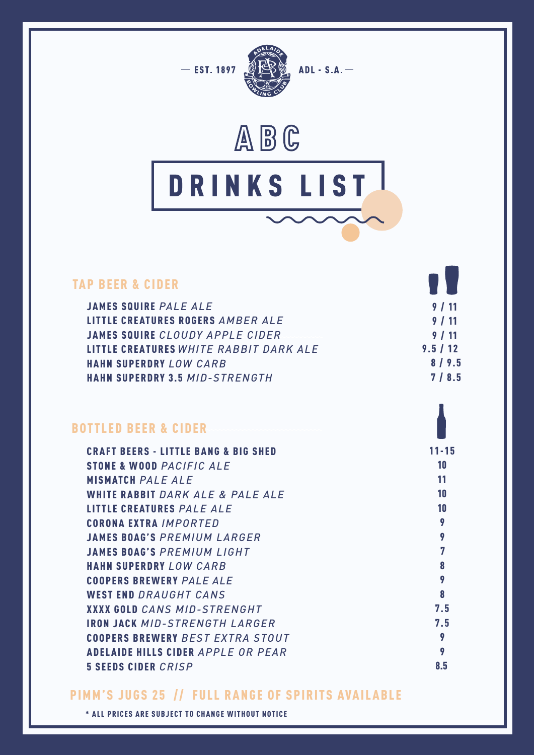



#### TAP BEER & CIDER JAMES SQUIRE PALE ALE LITTLE CREATURES ROGERS AMBER ALE JAMES S QUIRE *CLOUDY APPLE CIDER* LITTLE CREATURES *WHITE RABBIT DARK ALE* HAHN SUPERDRY *LOW CARB* HAHN SUPERDRY 3 .5 *MID-STRENGTH*  $9.5 / 12$  8 / 9.5 7 / 8.5 9 / 11 9 / 11 9 / 11

## BOTTLED BEER & CIDER

| <b>CRAFT BEERS - LITTLE BANG &amp; BIG SHED</b> | $11 - 15$ |
|-------------------------------------------------|-----------|
| STONE & WOOD PACIFIC ALE                        | 10        |
| <b>MISMATCH PALE ALE</b>                        | 11        |
| WHITE RABBIT DARK ALE & PALE ALE                | 10        |
| <b>LITTLE CREATURES PALE ALE</b>                | 10        |
| <b>CORONA EXTRA IMPORTED</b>                    | 9         |
| <b>JAMES BOAG'S PREMIUM LARGER</b>              | 9         |
| <b>JAMES BOAG'S PREMIUM LIGHT</b>               | 7         |
| <b>HAHN SUPERDRY LOW CARB</b>                   | 8         |
| <b>COOPERS BREWERY PALE ALE</b>                 | 9         |
| <b>WEST END DRAUGHT CANS</b>                    | 8         |
| <b>XXXX GOLD CANS MID-STRENGHT</b>              | 7.5       |
| <b>IRON JACK MID-STRENGTH LARGER</b>            | 7.5       |
| <b>COOPERS BREWERY BEST EXTRA STOUT</b>         | 9         |
| <b>ADELAIDE HILLS CIDER APPLE OR PEAR</b>       | 9         |
| <b>5 SEEDS CIDER CRISP</b>                      | 8.5       |

### PIMM'S JUGS 25 // FULL RANGE OF SPIRITS AVAILABLE

\* ALL PRICES ARE SUBJECT TO CHANGE WITHOUT NOTICE